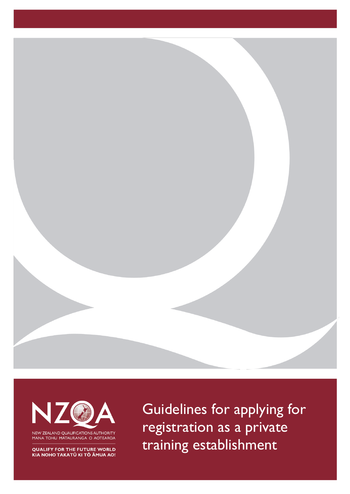



MANA TOHU MĀTAURANGA O AOTEAROA

**QUALIFY FOR THE FUTURE WORLD** KIA NOHO TAKATŪ KI TŌ ĀMUA AO!

Guidelines for applying for registration as a private training establishment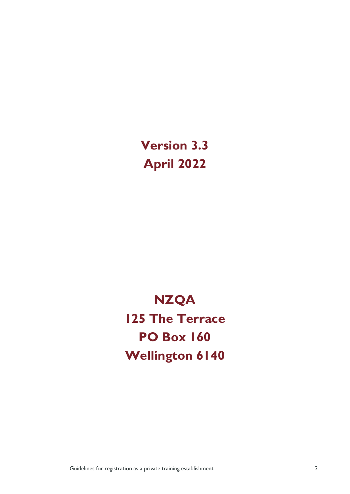**Version 3.3 April 2022**

# **NZQA 125 The Terrace PO Box 160 Wellington 6140**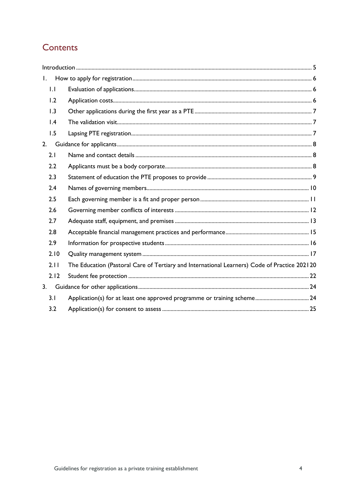## Contents

| $\mathbf{I}$ . |                                                                                              |  |
|----------------|----------------------------------------------------------------------------------------------|--|
| 1.1            |                                                                                              |  |
| 1.2            |                                                                                              |  |
| 1.3            |                                                                                              |  |
| 1.4            |                                                                                              |  |
| 1.5            |                                                                                              |  |
| 2.             |                                                                                              |  |
| 2.1            |                                                                                              |  |
| 2.2            |                                                                                              |  |
| 2.3            |                                                                                              |  |
| 2.4            |                                                                                              |  |
| 2.5            |                                                                                              |  |
| 2.6            |                                                                                              |  |
| 2.7            |                                                                                              |  |
| 2.8            |                                                                                              |  |
| 2.9            |                                                                                              |  |
| 2.10           |                                                                                              |  |
| 2.11           | The Education (Pastoral Care of Tertiary and International Learners) Code of Practice 202120 |  |
| 2.12           |                                                                                              |  |
| 3.             |                                                                                              |  |
| 3.1            |                                                                                              |  |
| 3.2            |                                                                                              |  |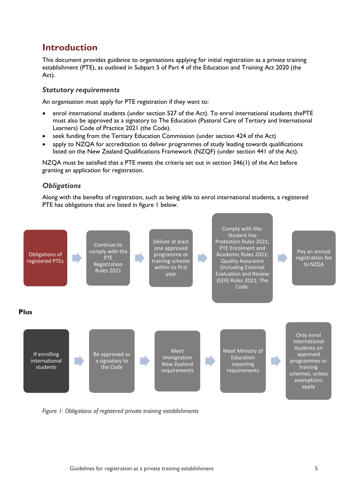## <span id="page-3-0"></span>**Introduction**

This document provides guidance to organisations applying for initial registration as a private training establishment (PTE), as outlined in Subpart 5 of Part 4 of the Education and Training Act 2020 (the Act).

## *Statutory requirements*

An organisation must apply for PTE registration if they want to:

- enrol international students (under section 527 of the Act). To enrol international students thePTE must also be approved as a signatory to The Education (Pastoral Care of Tertiary and International Learners) Code of Practice 2021 (the Code).
- seek funding from the Tertiary Education Commission (under section 424 of the Act)
- apply to NZQA for accreditation to deliver programmes of study leading towards qualifications listed on the New Zealand Qualifications Framework (NZQF) (under section 441 of the Act).

NZQA must be satisfied that a PTE meets the criteria set out in section 346(1) of the Act before granting an application for registration.

## *Obligations*

Along with the benefits of registration, such as being able to enrol international students, a registered PTE has obligations that are listed in figure 1 below.



*Figure 1: Obligations of registered private training establishments*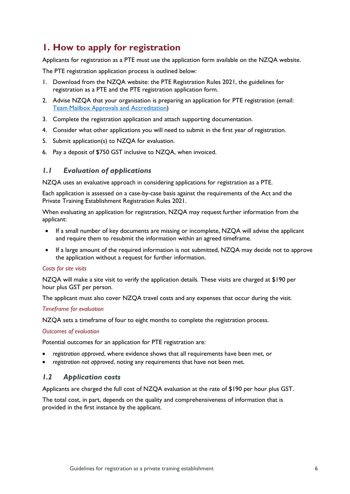## <span id="page-4-0"></span>**1. How to apply for registration**

Applicants for registration as a PTE must use the application form available on the NZQA website.

The PTE registration application process is outlined below:

- 1. Download from the NZQA website: the PTE Registration Rules 2021, the guidelines for registration as a PTE and the PTE registration application form.
- 2. Advise NZQA that your organisation is preparing an application for PTE registration (email: Team Mailbox Approvals and [Accreditation\)](mailto:Approvals_Accreditation@nzqa.govt.nz)
- 3. Complete the registration application and attach supporting documentation.
- 4. Consider what other applications you will need to submit in the first year of registration.
- 5. Submit application(s) to NZQA for evaluation.
- 6. Pay a deposit of \$750 GST inclusive to NZQA, when invoiced.

## <span id="page-4-1"></span>*1.1 Evaluation of applications*

NZQA uses an evaluative approach in considering applications for registration as a PTE.

Each application is assessed on a case-by-case basis against the requirements of the Act and the Private Training Establishment Registration Rules 2021.

When evaluating an application for registration, NZQA may request further information from the applicant:

- If a small number of key documents are missing or incomplete, NZQA will advise the applicant and require them to resubmit the information within an agreed timeframe.
- If a large amount of the required information is not submitted, NZQA may decide not to approve the application without a request for further information.

#### *Costs for site visits*

NZQA will make a site visit to verify the application details. These visits are charged at \$190 per hour plus GST per person.

The applicant must also cover NZQA travel costs and any expenses that occur during the visit.

#### *Timeframe for evaluation*

NZQA sets a timeframe of four to eight months to complete the registration process.

#### *Outcomes of evaluation*

Potential outcomes for an application for PTE registration are:

- *registration approved*, where evidence shows that all requirements have been met, or
- *registration not approved*, noting any requirements that have not been met.

#### <span id="page-4-2"></span>*1.2 Application costs*

Applicants are charged the full cost of NZQA evaluation at the rate of \$190 per hour plus GST.

The total cost, in part, depends on the quality and comprehensiveness of information that is provided in the first instance by the applicant.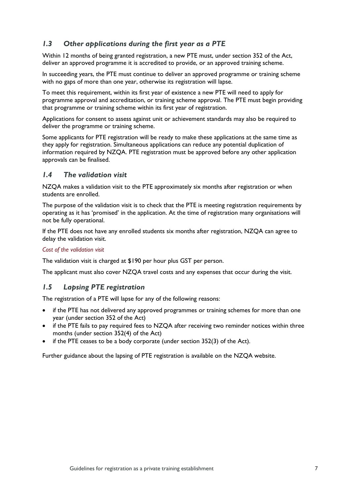## <span id="page-5-0"></span>*1.3 Other applications during the first year as a PTE*

Within 12 months of being granted registration, a new PTE must, under section 352 of the Act, deliver an approved programme it is accredited to provide, or an approved training scheme.

In succeeding years, the PTE must continue to deliver an approved programme or training scheme with no gaps of more than one year, otherwise its registration will lapse.

To meet this requirement, within its first year of existence a new PTE will need to apply for programme approval and accreditation, or training scheme approval. The PTE must begin providing that programme or training scheme within its first year of registration.

Applications for consent to assess against unit or achievement standards may also be required to deliver the programme or training scheme.

Some applicants for PTE registration will be ready to make these applications at the same time as they apply for registration. Simultaneous applications can reduce any potential duplication of information required by NZQA. PTE registration must be approved before any other application approvals can be finalised.

#### <span id="page-5-1"></span>*1.4 The validation visit*

NZQA makes a validation visit to the PTE approximately six months after registration or when students are enrolled.

The purpose of the validation visit is to check that the PTE is meeting registration requirements by operating as it has 'promised' in the application. At the time of registration many organisations will not be fully operational.

If the PTE does not have any enrolled students six months after registration, NZQA can agree to delay the validation visit.

#### *Cost of the validation visit*

The validation visit is charged at \$190 per hour plus GST per person.

The applicant must also cover NZQA travel costs and any expenses that occur during the visit.

#### <span id="page-5-2"></span>*1.5 Lapsing PTE registration*

The registration of a PTE will lapse for any of the following reasons:

- if the PTE has not delivered any approved programmes or training schemes for more than one year (under section 352 of the Act)
- if the PTE fails to pay required fees to NZQA after receiving two reminder notices within three months (under section 352(4) of the Act)
- if the PTE ceases to be a body corporate (under section  $352(3)$  of the Act).

Further guidance about the lapsing of PTE registration is available on the NZQA website.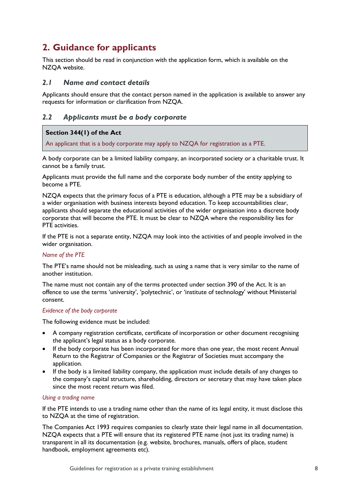## <span id="page-6-0"></span>**2. Guidance for applicants**

This section should be read in conjunction with the application form, which is available on the NZQA website.

## <span id="page-6-1"></span>*2.1 Name and contact details*

Applicants should ensure that the contact person named in the application is available to answer any requests for information or clarification from NZQA.

## <span id="page-6-2"></span>*2.2 Applicants must be a body corporate*

#### **Section 344(1) of the Act**

An applicant that is a body corporate may apply to NZQA for registration as a PTE.

A body corporate can be a limited liability company, an incorporated society or a charitable trust. It cannot be a family trust.

Applicants must provide the full name and the corporate body number of the entity applying to become a PTE.

NZQA expects that the primary focus of a PTE is education, although a PTE may be a subsidiary of a wider organisation with business interests beyond education. To keep accountabilities clear, applicants should separate the educational activities of the wider organisation into a discrete body corporate that will become the PTE. It must be clear to NZQA where the responsibility lies for PTE activities.

If the PTE is not a separate entity, NZQA may look into the activities of and people involved in the wider organisation.

#### *Name of the PTE*

The PTE's name should not be misleading, such as using a name that is very similar to the name of another institution.

The name must not contain any of the terms protected under section 390 of the Act. It is an offence to use the terms 'university', 'polytechnic', or 'institute of technology' without Ministerial consent.

#### *Evidence of the body corporate*

The following evidence must be included:

- A company registration certificate, certificate of incorporation or other document recognising the applicant's legal status as a body corporate.
- If the body corporate has been incorporated for more than one year, the most recent Annual Return to the Registrar of Companies or the Registrar of Societies must accompany the application.
- If the body is a limited liability company, the application must include details of any changes to the company's capital structure, shareholding, directors or secretary that may have taken place since the most recent return was filed.

#### *Using a trading name*

If the PTE intends to use a trading name other than the name of its legal entity, it must disclose this to NZQA at the time of registration.

The Companies Act 1993 requires companies to clearly state their legal name in all documentation. NZQA expects that a PTE will ensure that its registered PTE name (not just its trading name) is transparent in all its documentation (e.g. website, brochures, manuals, offers of place, student handbook, employment agreements etc).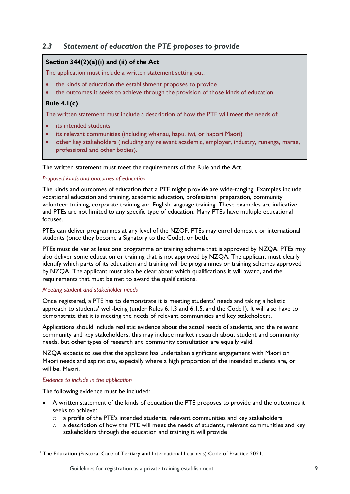## <span id="page-7-0"></span>*2.3 Statement of education the PTE proposes to provide*

## **Section 344(2)(a)(i) and (ii) of the Act**

The application must include a written statement setting out:

- the kinds of education the establishment proposes to provide
- the outcomes it seeks to achieve through the provision of those kinds of education.

## **Rule 4.1(c)**

The written statement must include a description of how the PTE will meet the needs of:

- its intended students
- its relevant communities (including whānau, hapū, iwi, or hāpori Māori)
- other key stakeholders (including any relevant academic, employer, industry, runānga, marae, professional and other bodies).

The written statement must meet the requirements of the Rule and the Act.

#### *Proposed kinds and outcomes of education*

The kinds and outcomes of education that a PTE might provide are wide-ranging. Examples include vocational education and training, academic education, professional preparation, community volunteer training, corporate training and English language training. These examples are indicative, and PTEs are not limited to any specific type of education. Many PTEs have multiple educational focuses.

PTEs can deliver programmes at any level of the NZQF. PTEs may enrol domestic or international students (once they become a Signatory to the Code), or both.

PTEs must deliver at least one programme or training scheme that is approved by NZQA. PTEs may also deliver some education or training that is not approved by NZQA. The applicant must clearly identify which parts of its education and training will be programmes or training schemes approved by NZQA. The applicant must also be clear about which qualifications it will award, and the requirements that must be met to award the qualifications.

#### *Meeting student and stakeholder needs*

Once registered, a PTE has to demonstrate it is meeting students' needs and taking a holistic approach to students' well-being (under Rules 6.1.3 and 6.1.5, and the Code1). It will also have to demonstrate that it is meeting the needs of relevant communities and key stakeholders.

Applications should include realistic evidence about the actual needs of students, and the relevant community and key stakeholders, this may include market research about student and community needs, but other types of research and community consultation are equally valid.

NZQA expects to see that the applicant has undertaken significant engagement with Māori on Māori needs and aspirations, especially where a high proportion of the intended students are, or will be, Māori.

#### *Evidence to include in the application*

- A written statement of the kinds of education the PTE proposes to provide and the outcomes it seeks to achieve:
	- $\circ$  a profile of the PTE's intended students, relevant communities and key stakeholders
	- $\circ$  a description of how the PTE will meet the needs of students, relevant communities and key stakeholders through the education and training it will provide

<sup>&</sup>lt;sup>1</sup> The Education (Pastoral Care of Tertiary and International Learners) Code of Practice 2021.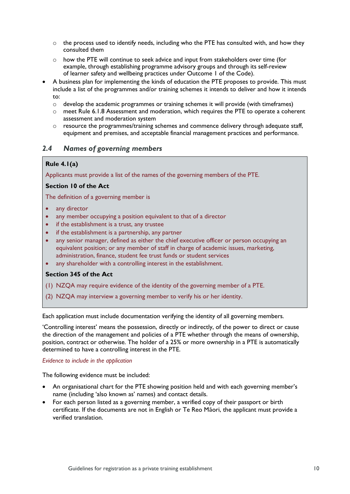- $\circ$  the process used to identify needs, including who the PTE has consulted with, and how they consulted them
- $\circ$  how the PTE will continue to seek advice and input from stakeholders over time (for example, through establishing programme advisory groups and through its self-review of learner safety and wellbeing practices under Outcome 1 of the Code).
- A business plan for implementing the kinds of education the PTE proposes to provide. This must include a list of the programmes and/or training schemes it intends to deliver and how it intends to:
	- $\circ$  develop the academic programmes or training schemes it will provide (with timeframes)
	- o meet Rule 6.1.8 Assessment and moderation, which requires the PTE to operate a coherent assessment and moderation system
	- $\circ$  resource the programmes/training schemes and commence delivery through adequate staff, equipment and premises, and acceptable financial management practices and performance.

## <span id="page-8-0"></span>*2.4 Names of governing members*

## **Rule 4.1(a)**

Applicants must provide a list of the names of the governing members of the PTE.

#### **Section 10 of the Act**

The definition of a governing member is

- any director
- any member occupying a position equivalent to that of a director
- if the establishment is a trust, any trustee
- if the establishment is a partnership, any partner
- any senior manager, defined as either the chief executive officer or person occupying an equivalent position; or any member of staff in charge of academic issues, marketing, administration, finance, student fee trust funds or student services
- any shareholder with a controlling interest in the establishment.

#### **Section 345 of the Act**

- (1) NZQA may require evidence of the identity of the governing member of a PTE.
- (2) NZQA may interview a governing member to verify his or her identity.

Each application must include documentation verifying the identity of all governing members.

'Controlling interest' means the possession, directly or indirectly, of the power to direct or cause the direction of the management and policies of a PTE whether through the means of ownership, position, contract or otherwise. The holder of a 25% or more ownership in a PTE is automatically determined to have a controlling interest in the PTE.

#### *Evidence to include in the application*

- An organisational chart for the PTE showing position held and with each governing member's name (including 'also known as' names) and contact details.
- For each person listed as a governing member, a verified copy of their passport or birth certificate. If the documents are not in English or Te Reo Māori, the applicant must provide a verified translation.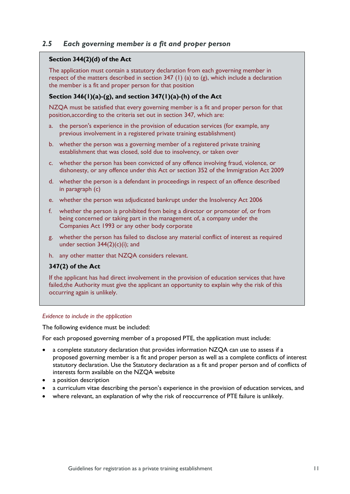## <span id="page-9-0"></span>*2.5 Each governing member is a fit and proper person*

#### **Section 344(2)(d) of the Act**

The application must contain a statutory declaration from each governing member in respect of the matters described in section 347 (1) (a) to (g), which include a declaration the member is a fit and proper person for that position

#### **Section 346(1)(a)-(g), and section 347(1)(a)-(h) of the Act**

NZQA must be satisfied that every governing member is a fit and proper person for that position,according to the criteria set out in section 347, which are:

- a. the person's experience in the provision of education services (for example, any previous involvement in a registered private training establishment)
- b. whether the person was a governing member of a registered private training establishment that was closed, sold due to insolvency, or taken over
- c. whether the person has been convicted of any offence involving fraud, violence, or dishonesty, or any offence under this Act or section 352 of the Immigration Act 2009
- d. whether the person is a defendant in proceedings in respect of an offence described in paragraph (c)
- e. whether the person was adjudicated bankrupt under the Insolvency Act 2006
- f. whether the person is prohibited from being a director or promoter of, or from being concerned or taking part in the management of, a company under the Companies Act 1993 or any other body corporate
- g. whether the person has failed to disclose any material conflict of interest as required under section  $344(2)(c)(i)$ ; and
- h. any other matter that NZQA considers relevant.

#### **347(2) of the Act**

If the applicant has had direct involvement in the provision of education services that have failed,the Authority must give the applicant an opportunity to explain why the risk of this occurring again is unlikely.

#### *Evidence to include in the application*

The following evidence must be included:

For each proposed governing member of a proposed PTE, the application must include:

- a complete statutory declaration that provides information NZQA can use to assess if a proposed governing member is a fit and proper person as well as a complete conflicts of interest statutory declaration. Use the Statutory declaration as a fit and proper person and of conflicts of interests form available on the NZQA website
- a position description
- a curriculum vitae describing the person's experience in the provision of education services, and
- where relevant, an explanation of why the risk of reoccurrence of PTE failure is unlikely.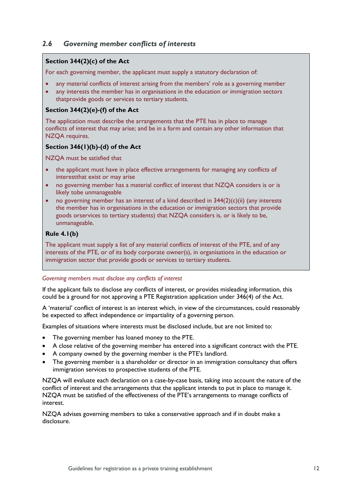## <span id="page-10-0"></span>*2.6 Governing member conflicts of interests*

## **Section 344(2)(c) of the Act**

For each governing member, the applicant must supply a statutory declaration of:

- any material conflicts of interest arising from the members' role as a governing member
- any interests the member has in organisations in the education or immigration sectors thatprovide goods or services to tertiary students.

## **Section 344(2)(e)-(f) of the Act**

The application must describe the arrangements that the PTE has in place to manage conflicts of interest that may arise; and be in a form and contain any other information that NZQA requires.

## **Section 346(1)(b)-(d) of the Act**

NZQA must be satisfied that

- the applicant must have in place effective arrangements for managing any conflicts of interestthat exist or may arise
- no governing member has a material conflict of interest that NZOA considers is or is likely tobe unmanageable
- no governing member has an interest of a kind described in  $344(2)(c)(ii)$  (any interests the member has in organisations in the education or immigration sectors that provide goods orservices to tertiary students) that NZQA considers is, or is likely to be, unmanageable.

## **Rule 4.1(b)**

The applicant must supply a list of any material conflicts of interest of the PTE, and of any interests of the PTE, or of its body corporate owner(s), in organisations in the education or immigration sector that provide goods or services to tertiary students.

#### *Governing members must disclose any conflicts of interest*

If the applicant fails to disclose any conflicts of interest, or provides misleading information, this could be a ground for not approving a PTE Registration application under 346(4) of the Act.

A 'material' conflict of interest is an interest which, in view of the circumstances, could reasonably be expected to affect independence or impartiality of a governing person.

Examples of situations where interests must be disclosed include, but are not limited to:

- The governing member has loaned money to the PTE.
- A close relative of the governing member has entered into a significant contract with the PTE.
- A company owned by the governing member is the PTE's landlord.
- The governing member is a shareholder or director in an immigration consultancy that offers immigration services to prospective students of the PTE.

NZQA will evaluate each declaration on a case-by-case basis, taking into account the nature of the conflict of interest and the arrangements that the applicant intends to put in place to manage it. NZQA must be satisfied of the effectiveness of the PTE's arrangements to manage conflicts of interest.

NZQA advises governing members to take a conservative approach and if in doubt make a disclosure.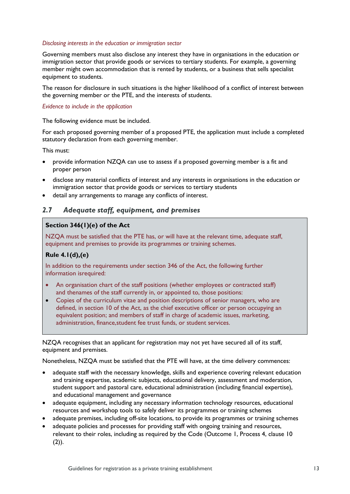#### *Disclosing interests in the education or immigration sector*

Governing members must also disclose any interest they have in organisations in the education or immigration sector that provide goods or services to tertiary students. For example, a governing member might own accommodation that is rented by students, or a business that sells specialist equipment to students.

The reason for disclosure in such situations is the higher likelihood of a conflict of interest between the governing member or the PTE, and the interests of students.

#### *Evidence to include in the application*

The following evidence must be included.

For each proposed governing member of a proposed PTE, the application must include a completed statutory declaration from each governing member.

This must:

- provide information NZQA can use to assess if a proposed governing member is a fit and proper person
- disclose any material conflicts of interest and any interests in organisations in the education or immigration sector that provide goods or services to tertiary students
- detail any arrangements to manage any conflicts of interest.

## <span id="page-11-0"></span>*2.7 Adequate staff, equipment, and premises*

#### **Section 346(1)(e) of the Act**

NZQA must be satisfied that the PTE has, or will have at the relevant time, adequate staff, equipment and premises to provide its programmes or training schemes.

## **Rule 4.1(d),(e)**

In addition to the requirements under section 346 of the Act, the following further information isrequired:

- An organisation chart of the staff positions (whether employees or contracted staff) and thenames of the staff currently in, or appointed to, those positions:
- Copies of the curriculum vitae and position descriptions of senior managers, who are defined, in section 10 of the Act, as the chief executive officer or person occupying an equivalent position; and members of staff in charge of academic issues, marketing, administration, finance,student fee trust funds, or student services.

NZQA recognises that an applicant for registration may not yet have secured all of its staff, equipment and premises.

Nonetheless, NZQA must be satisfied that the PTE will have, at the time delivery commences:

- adequate staff with the necessary knowledge, skills and experience covering relevant education and training expertise, academic subjects, educational delivery, assessment and moderation, student support and pastoral care, educational administration (including financial expertise), and educational management and governance
- adequate equipment, including any necessary information technology resources, educational resources and workshop tools to safely deliver its programmes or training schemes
- adequate premises, including off-site locations, to provide its programmes or training schemes
- adequate policies and processes for providing staff with ongoing training and resources, relevant to their roles, including as required by the Code (Outcome 1, Process 4, clause 10  $(2)$ ).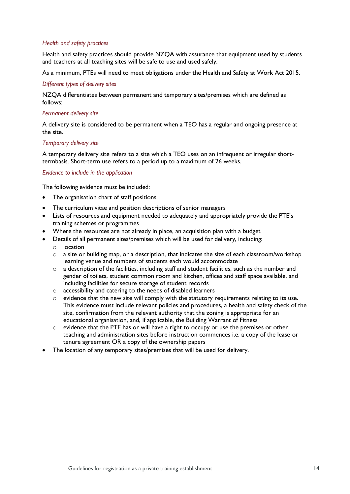#### *Health and safety practices*

Health and safety practices should provide NZQA with assurance that equipment used by students and teachers at all teaching sites will be safe to use and used safely.

As a minimum, PTEs will need to meet obligations under the Health and Safety at Work Act 2015.

#### *Different types of delivery sites*

NZQA differentiates between permanent and temporary sites/premises which are defined as follows:

#### *Permanent delivery site*

A delivery site is considered to be permanent when a TEO has a regular and ongoing presence at the site.

#### *Temporary delivery site*

A temporary delivery site refers to a site which a TEO uses on an infrequent or irregular shorttermbasis. Short-term use refers to a period up to a maximum of 26 weeks.

#### *Evidence to include in the application*

- The organisation chart of staff positions
- The curriculum vitae and position descriptions of senior managers
- Lists of resources and equipment needed to adequately and appropriately provide the PTE's training schemes or programmes
- Where the resources are not already in place, an acquisition plan with a budget
- Details of all permanent sites/premises which will be used for delivery, including:
	- o location
	- $\circ$  a site or building map, or a description, that indicates the size of each classroom/workshop learning venue and numbers of students each would accommodate
	- $\circ$  a description of the facilities, including staff and student facilities, such as the number and gender of toilets, student common room and kitchen, offices and staff space available, and including facilities for secure storage of student records
	- o accessibility and catering to the needs of disabled learners
	- o evidence that the new site will comply with the statutory requirements relating to its use. This evidence must include relevant policies and procedures, a health and safety check of the site, confirmation from the relevant authority that the zoning is appropriate for an educational organisation, and, if applicable, the Building Warrant of Fitness
	- $\circ$  evidence that the PTE has or will have a right to occupy or use the premises or other teaching and administration sites before instruction commences i.e. a copy of the lease or tenure agreement OR a copy of the ownership papers
- The location of any temporary sites/premises that will be used for delivery.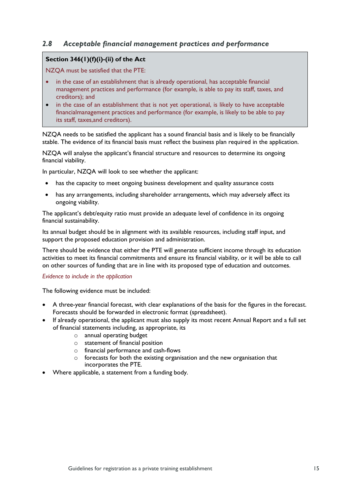## <span id="page-13-0"></span>*2.8 Acceptable financial management practices and performance*

#### **Section 346(1)(f)(i)-(ii) of the Act**

NZQA must be satisfied that the PTE:

- in the case of an establishment that is already operational, has acceptable financial management practices and performance (for example, is able to pay its staff, taxes, and creditors); and
- in the case of an establishment that is not yet operational, is likely to have acceptable financialmanagement practices and performance (for example, is likely to be able to pay its staff, taxes,and creditors).

NZQA needs to be satisfied the applicant has a sound financial basis and is likely to be financially stable. The evidence of its financial basis must reflect the business plan required in the application.

NZQA will analyse the applicant's financial structure and resources to determine its ongoing financial viability.

In particular, NZQA will look to see whether the applicant:

- has the capacity to meet ongoing business development and quality assurance costs
- has any arrangements, including shareholder arrangements, which may adversely affect its ongoing viability.

The applicant's debt/equity ratio must provide an adequate level of confidence in its ongoing financial sustainability.

Its annual budget should be in alignment with its available resources, including staff input, and support the proposed education provision and administration.

There should be evidence that either the PTE will generate sufficient income through its education activities to meet its financial commitments and ensure its financial viability, or it will be able to call on other sources of funding that are in line with its proposed type of education and outcomes.

#### *Evidence to include in the application*

- A three-year financial forecast, with clear explanations of the basis for the figures in the forecast. Forecasts should be forwarded in electronic format (spreadsheet).
- If already operational, the applicant must also supply its most recent Annual Report and a full set of financial statements including, as appropriate, its
	- o annual operating budget
	- o statement of financial position
	- o financial performance and cash-flows
	- o forecasts for both the existing organisation and the new organisation that incorporates the PTE.
- Where applicable, a statement from a funding body.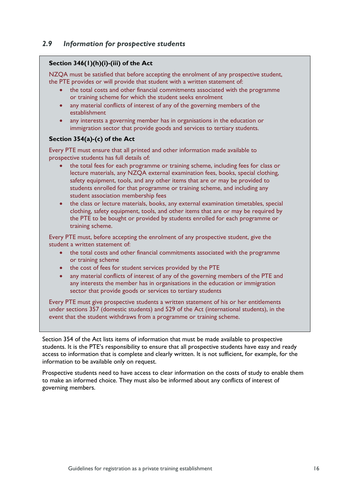## <span id="page-14-0"></span>*2.9 Information for prospective students*

### **Section 346(1)(h)(i)-(iii) of the Act**

NZQA must be satisfied that before accepting the enrolment of any prospective student, the PTE provides or will provide that student with a written statement of:

- the total costs and other financial commitments associated with the programme or training scheme for which the student seeks enrolment
- any material conflicts of interest of any of the governing members of the establishment
- any interests a governing member has in organisations in the education or immigration sector that provide goods and services to tertiary students.

#### **Section 354(a)-(c) of the Act**

Every PTE must ensure that all printed and other information made available to prospective students has full details of:

- the total fees for each programme or training scheme, including fees for class or lecture materials, any NZQA external examination fees, books, special clothing, safety equipment, tools, and any other items that are or may be provided to students enrolled for that programme or training scheme, and including any student association membership fees
- the class or lecture materials, books, any external examination timetables, special clothing, safety equipment, tools, and other items that are or may be required by the PTE to be bought or provided by students enrolled for each programme or training scheme.

Every PTE must, before accepting the enrolment of any prospective student, give the student a written statement of:

- the total costs and other financial commitments associated with the programme or training scheme
- the cost of fees for student services provided by the PTE
- any material conflicts of interest of any of the governing members of the PTE and any interests the member has in organisations in the education or immigration sector that provide goods or services to tertiary students

Every PTE must give prospective students a written statement of his or her entitlements under sections 357 (domestic students) and 529 of the Act (international students), in the event that the student withdraws from a programme or training scheme.

Section 354 of the Act lists items of information that must be made available to prospective students. It is the PTE's responsibility to ensure that all prospective students have easy and ready access to information that is complete and clearly written. It is not sufficient, for example, for the information to be available only on request.

Prospective students need to have access to clear information on the costs of study to enable them to make an informed choice. They must also be informed about any conflicts of interest of governing members.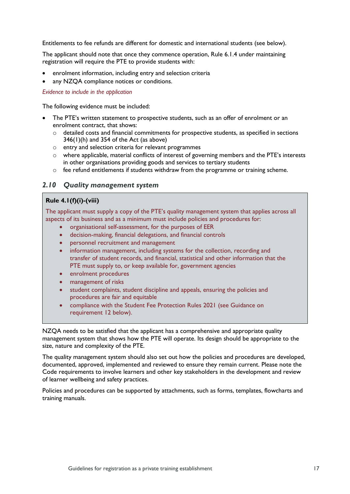Entitlements to fee refunds are different for domestic and international students (see below).

The applicant should note that once they commence operation, Rule 6.1.4 under maintaining registration will require the PTE to provide students with:

- enrolment information, including entry and selection criteria
- any NZQA compliance notices or conditions.

*Evidence to include in the application*

The following evidence must be included:

- The PTE's written statement to prospective students, such as an offer of enrolment or an enrolment contract, that shows:
	- o detailed costs and financial commitments for prospective students, as specified in sections  $346(1)$ (h) and  $354$  of the Act (as above)
	- o entry and selection criteria for relevant programmes
	- o where applicable, material conflicts of interest of governing members and the PTE's interests in other organisations providing goods and services to tertiary students
	- $\circ$  fee refund entitlements if students withdraw from the programme or training scheme.

#### <span id="page-15-0"></span>*2.10 Quality management system*

#### **Rule 4.1(f)(i)-(viii)**

The applicant must supply a copy of the PTE's quality management system that applies across all aspects of its business and as a minimum must include policies and procedures for:

- organisational self-assessment, for the purposes of EER
- decision-making, financial delegations, and financial controls
- personnel recruitment and management
- information management, including systems for the collection, recording and transfer of student records, and financial, statistical and other information that the PTE must supply to, or keep available for, government agencies
- enrolment procedures
- management of risks
- student complaints, student discipline and appeals, ensuring the policies and procedures are fair and equitable
- compliance with the Student Fee Protection Rules 2021 (see Guidance on requirement 12 below).

NZQA needs to be satisfied that the applicant has a comprehensive and appropriate quality management system that shows how the PTE will operate. Its design should be appropriate to the size, nature and complexity of the PTE.

The quality management system should also set out how the policies and procedures are developed, documented, approved, implemented and reviewed to ensure they remain current. Please note the Code requirements to involve learners and other key stakeholders in the development and review of learner wellbeing and safety practices.

Policies and procedures can be supported by attachments, such as forms, templates, flowcharts and training manuals.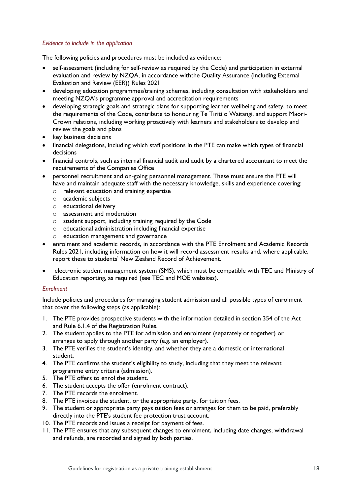#### *Evidence to include in the application*

The following policies and procedures must be included as evidence:

- self-assessment (including for self-review as required by the Code) and participation in external evaluation and review by NZQA, in accordance withthe Quality Assurance (including External Evaluation and Review (EER)) Rules 2021
- developing education programmes/training schemes, including consultation with stakeholders and meeting NZQA's programme approval and accreditation requirements
- developing strategic goals and strategic plans for supporting learner wellbeing and safety, to meet the requirements of the Code, contribute to honouring Te Tiriti o Waitangi, and support Māori-Crown relations, including working proactively with learners and stakeholders to develop and review the goals and plans
- key business decisions
- financial delegations, including which staff positions in the PTE can make which types of financial decisions
- financial controls, such as internal financial audit and audit by a chartered accountant to meet the requirements of the Companies Office
- personnel recruitment and on-going personnel management. These must ensure the PTE will have and maintain adequate staff with the necessary knowledge, skills and experience covering:
	- o relevant education and training expertise
	- o academic subjects
	- o educational delivery
	- o assessment and moderation
	- o student support, including training required by the Code
	- o educational administration including financial expertise
	- o education management and governance
- enrolment and academic records, in accordance with the PTE Enrolment and Academic Records Rules 2021, including information on how it will record assessment results and, where applicable, report these to students' New Zealand Record of Achievement.
- electronic student management system (SMS), which must be compatible with TEC and Ministry of Education reporting, as required (see TEC and MOE websites).

#### *Enrolment*

Include policies and procedures for managing student admission and all possible types of enrolment that cover the following steps (as applicable):

- 1. The PTE provides prospective students with the information detailed in section 354 of the Act and Rule 6.1.4 of the Registration Rules.
- 2. The student applies to the PTE for admission and enrolment (separately or together) or arranges to apply through another party (e.g. an employer).
- 3. The PTE verifies the student's identity, and whether they are a domestic or international student.
- 4. The PTE confirms the student's eligibility to study, including that they meet the relevant programme entry criteria (admission).
- 5. The PTE offers to enrol the student.
- 6. The student accepts the offer (enrolment contract).
- 7. The PTE records the enrolment.
- 8. The PTE invoices the student, or the appropriate party, for tuition fees.
- 9. The student or appropriate party pays tuition fees or arranges for them to be paid, preferably directly into the PTE's student fee protection trust account.
- 10. The PTE records and issues a receipt for payment of fees.
- 11. The PTE ensures that any subsequent changes to enrolment, including date changes, withdrawal and refunds, are recorded and signed by both parties.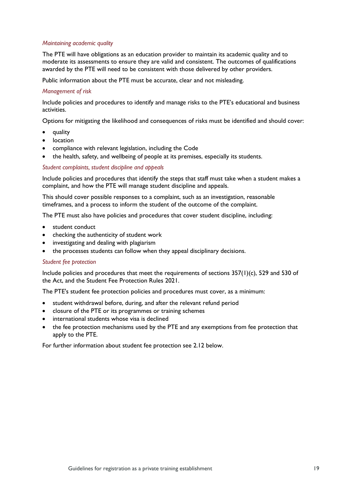#### *Maintaining academic quality*

The PTE will have obligations as an education provider to maintain its academic quality and to moderate its assessments to ensure they are valid and consistent. The outcomes of qualifications awarded by the PTE will need to be consistent with those delivered by other providers.

Public information about the PTE must be accurate, clear and not misleading.

#### *Management of risk*

Include policies and procedures to identify and manage risks to the PTE's educational and business activities.

Options for mitigating the likelihood and consequences of risks must be identified and should cover:

- quality
- **location**
- compliance with relevant legislation, including the Code
- the health, safety, and wellbeing of people at its premises, especially its students.

#### *Student complaints, student discipline and appeals*

Include policies and procedures that identify the steps that staff must take when a student makes a complaint, and how the PTE will manage student discipline and appeals.

This should cover possible responses to a complaint, such as an investigation, reasonable timeframes, and a process to inform the student of the outcome of the complaint.

The PTE must also have policies and procedures that cover student discipline, including:

- student conduct
- checking the authenticity of student work
- investigating and dealing with plagiarism
- the processes students can follow when they appeal disciplinary decisions.

#### *Student fee protection*

Include policies and procedures that meet the requirements of sections 357(1)(c), 529 and 530 of the Act, and the Student Fee Protection Rules 2021.

The PTE's student fee protection policies and procedures must cover, as a minimum:

- student withdrawal before, during, and after the relevant refund period
- closure of the PTE or its programmes or training schemes
- international students whose visa is declined
- the fee protection mechanisms used by the PTE and any exemptions from fee protection that apply to the PTE.

For further information about student fee protection see 2.12 below.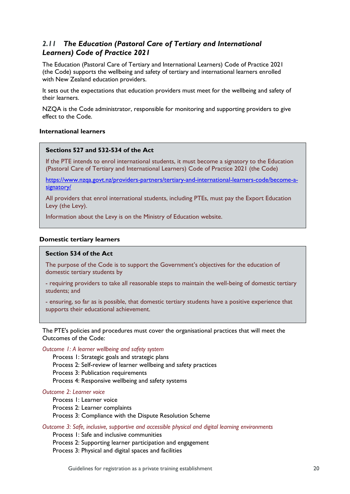## <span id="page-18-0"></span>*2.11 The Education (Pastoral Care of Tertiary and International Learners) Code of Practice 2021*

The Education (Pastoral Care of Tertiary and International Learners) Code of Practice 2021 (the Code) supports the wellbeing and safety of tertiary and international learners enrolled with New Zealand education providers.

It sets out the expectations that education providers must meet for the wellbeing and safety of their learners.

NZQA is the Code administrator, responsible for monitoring and supporting providers to give effect to the Code.

### **International learners**

#### **Sections 527 and 532-534 of the Act**

If the PTE intends to enrol international students, it must become a signatory to the Education (Pastoral Care of Tertiary and International Learners) Code of Practice 2021 (the Code)

[https://www.nzqa.govt.nz/providers-partners/tertiary-and-international-learners-code/become-a](https://www.nzqa.govt.nz/providers-partners/tertiary-and-international-learners-code/become-a-signatory/)[signatory/](https://www.nzqa.govt.nz/providers-partners/tertiary-and-international-learners-code/become-a-signatory/)

All providers that enrol international students, including PTEs, must pay the Export Education Levy (the Levy).

Information about the Levy is on the Ministry of Education website.

#### **Domestic tertiary learners**

#### **Section 534 of the Act**

The purpose of the Code is to support the Government's objectives for the education of domestic tertiary students by

- requiring providers to take all reasonable steps to maintain the well-being of domestic tertiary students; and
- ensuring, so far as is possible, that domestic tertiary students have a positive experience that supports their educational achievement.

The PTE's policies and procedures must cover the organisational practices that will meet the Outcomes of the Code:

*Outcome 1: A learner wellbeing and safety system*

Process 1: Strategic goals and strategic plans Process 2: Self-review of learner wellbeing and safety practices Process 3: Publication requirements Process 4: Responsive wellbeing and safety systems

## *Outcome 2: Learner voice*

Process 1: Learner voice Process 2: Learner complaints Process 3: Compliance with the Dispute Resolution Scheme

*Outcome 3: Safe, inclusive, supportive and accessible physical and digital learning environments*

Process 1: Safe and inclusive communities Process 2: Supporting learner participation and engagement Process 3: Physical and digital spaces and facilities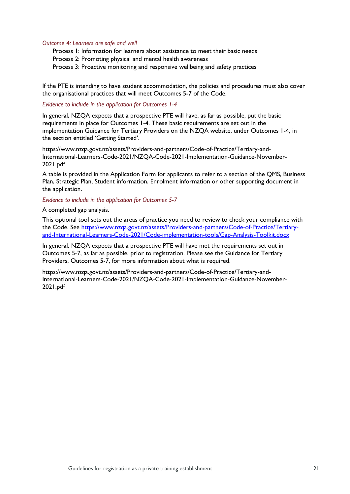#### *Outcome 4: Learners are safe and well*

Process 1: Information for learners about assistance to meet their basic needs Process 2: Promoting physical and mental health awareness Process 3: Proactive monitoring and responsive wellbeing and safety practices

If the PTE is intending to have student accommodation, the policies and procedures must also cover the organisational practices that will meet Outcomes 5-7 of the Code.

#### *Evidence to include in the application for Outcomes 1-4*

In general, NZQA expects that a prospective PTE will have, as far as possible, put the basic requirements in place for Outcomes 1-4. These basic requirements are set out in the implementation Guidance for Tertiary Providers on the NZQA website, under Outcomes 1-4, in the section entitled 'Getting Started'.

[https://www.nzqa.govt.nz/assets/Providers-and-partners/Code-of-Practice/Tertiary-and-](https://www.nzqa.govt.nz/assets/Providers-and-partners/Code-of-Practice/Tertiary-and-International-Learners-Code-2021/NZQA-Code-2021-Implementation-Guidance-November-2021.pdf)[International-Learners-Code-2021/NZQA-Code-2021-Implementation-Guidance-November-](https://www.nzqa.govt.nz/assets/Providers-and-partners/Code-of-Practice/Tertiary-and-International-Learners-Code-2021/NZQA-Code-2021-Implementation-Guidance-November-2021.pdf)[2021.pdf](https://www.nzqa.govt.nz/assets/Providers-and-partners/Code-of-Practice/Tertiary-and-International-Learners-Code-2021/NZQA-Code-2021-Implementation-Guidance-November-2021.pdf)

A table is provided in the Application Form for applicants to refer to a section of the QMS, Business Plan, Strategic Plan, Student information, Enrolment information or other supporting document in the application.

#### *Evidence to include in the application for Outcomes 5-7*

A completed gap analysis.

This optional tool sets out the areas of practice you need to review to check your compliance with the Code. See [https://www.nzqa.govt.nz/assets/Providers-and-partners/Code-of-Practice/Tertiary](https://www.nzqa.govt.nz/assets/Providers-and-partners/Code-of-Practice/Tertiary-and-International-Learners-Code-2021/Code-implementation-tools/Gap-Analysis-Toolkit.docx)[and-International-Learners-Code-2021/Code-implementation-tools/Gap-Analysis-Toolkit.docx](https://www.nzqa.govt.nz/assets/Providers-and-partners/Code-of-Practice/Tertiary-and-International-Learners-Code-2021/Code-implementation-tools/Gap-Analysis-Toolkit.docx)

In general, NZQA expects that a prospective PTE will have met the requirements set out in Outcomes 5-7, as far as possible, prior to registration. Please see the Guidance for Tertiary Providers, Outcomes 5-7, for more information about what is required.

[https://www.nzqa.govt.nz/assets/Providers-and-partners/Code-of-Practice/Tertiary-and-](https://www.nzqa.govt.nz/assets/Providers-and-partners/Code-of-Practice/Tertiary-and-International-Learners-Code-2021/NZQA-Code-2021-Implementation-Guidance-November-2021.pdf)[International-Learners-Code-2021/NZQA-Code-2021-Implementation-Guidance-November-](https://www.nzqa.govt.nz/assets/Providers-and-partners/Code-of-Practice/Tertiary-and-International-Learners-Code-2021/NZQA-Code-2021-Implementation-Guidance-November-2021.pdf)[2021.pdf](https://www.nzqa.govt.nz/assets/Providers-and-partners/Code-of-Practice/Tertiary-and-International-Learners-Code-2021/NZQA-Code-2021-Implementation-Guidance-November-2021.pdf)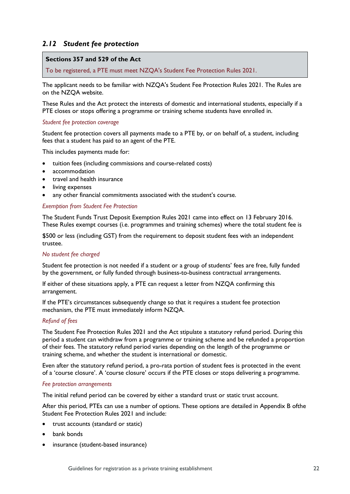## <span id="page-20-0"></span>*2.12 Student fee protection*

#### **Sections 357 and 529 of the Act**

To be registered, a PTE must meet NZQA's Student Fee Protection Rules 2021.

The applicant needs to be familiar with NZQA's Student Fee Protection Rules 2021. The Rules are on the NZQA website.

These Rules and the Act protect the interests of domestic and international students, especially if a PTE closes or stops offering a programme or training scheme students have enrolled in.

#### *Student fee protection coverage*

Student fee protection covers all payments made to a PTE by, or on behalf of, a student, including fees that a student has paid to an agent of the PTE.

This includes payments made for:

- tuition fees (including commissions and course-related costs)
- accommodation
- travel and health insurance
- living expenses
- any other financial commitments associated with the student's course.

#### *Exemption from Student Fee Protection*

The Student Funds Trust Deposit Exemption Rules 2021 came into effect on 13 February 2016. These Rules exempt courses (i.e. programmes and training schemes) where the total student fee is

\$500 or less (including GST) from the requirement to deposit student fees with an independent trustee.

#### *No student fee charged*

Student fee protection is not needed if a student or a group of students' fees are free, fully funded by the government, or fully funded through business-to-business contractual arrangements.

If either of these situations apply, a PTE can request a letter from NZQA confirming this arrangement.

If the PTE's circumstances subsequently change so that it requires a student fee protection mechanism, the PTE must immediately inform NZQA.

#### *Refund of fees*

The Student Fee Protection Rules 2021 and the Act stipulate a statutory refund period. During this period a student can withdraw from a programme or training scheme and be refunded a proportion of their fees. The statutory refund period varies depending on the length of the programme or training scheme, and whether the student is international or domestic.

Even after the statutory refund period, a pro-rata portion of student fees is protected in the event of a 'course closure'. A 'course closure' occurs if the PTE closes or stops delivering a programme.

#### *Fee protection arrangements*

The initial refund period can be covered by either a standard trust or static trust account.

After this period, PTEs can use a number of options. These options are detailed in Appendix B ofthe Student Fee Protection Rules 2021 and include:

- trust accounts (standard or static)
- bank bonds
- insurance (student-based insurance)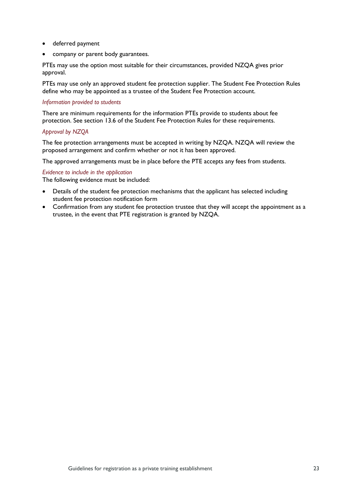- deferred payment
- company or parent body guarantees.

PTEs may use the option most suitable for their circumstances, provided NZQA gives prior approval.

PTEs may use only an approved student fee protection supplier. The Student Fee Protection Rules define who may be appointed as a trustee of the Student Fee Protection account.

#### *Information provided to students*

There are minimum requirements for the information PTEs provide to students about fee protection. See section 13.6 of the Student Fee Protection Rules for these requirements.

#### *Approval by NZQA*

The fee protection arrangements must be accepted in writing by NZQA. NZQA will review the proposed arrangement and confirm whether or not it has been approved.

The approved arrangements must be in place before the PTE accepts any fees from students.

#### *Evidence to include in the application*

- Details of the student fee protection mechanisms that the applicant has selected including student fee protection notification form
- Confirmation from any student fee protection trustee that they will accept the appointment as a trustee, in the event that PTE registration is granted by NZQA.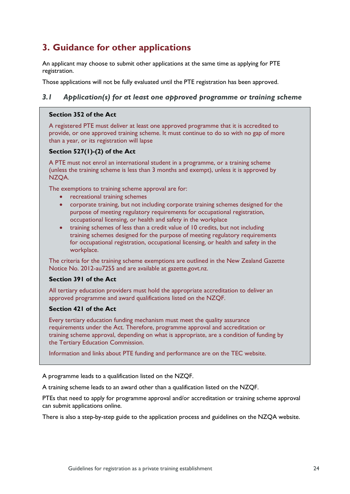## <span id="page-22-0"></span>**3. Guidance for other applications**

An applicant may choose to submit other applications at the same time as applying for PTE registration.

Those applications will not be fully evaluated until the PTE registration has been approved.

## <span id="page-22-1"></span>*3.1 Application(s) for at least one approved programme or training scheme*

#### **Section 352 of the Act**

A registered PTE must deliver at least one approved programme that it is accredited to provide, or one approved training scheme. It must continue to do so with no gap of more than a year, or its registration will lapse

#### **Section 527(1)-(2) of the Act**

A PTE must not enrol an international student in a programme, or a training scheme (unless the training scheme is less than 3 months and exempt), unless it is approved by NZQA.

The exemptions to training scheme approval are for:

- recreational training schemes
- corporate training, but not including corporate training schemes designed for the purpose of meeting regulatory requirements for occupational registration, occupational licensing, or health and safety in the workplace
- training schemes of less than a credit value of 10 credits, but not including training schemes designed for the purpose of meeting regulatory requirements for occupational registration, occupational licensing, or health and safety in the workplace.

The criteria for the training scheme exemptions are outlined in the New Zealand Gazette Notice No. 2012-au7255 and are available at [gazette.govt.nz.](https://gazette.govt.nz/)

#### **Section 391 of the Act**

All tertiary education providers must hold the appropriate accreditation to deliver an approved programme and award qualifications listed on the NZQF.

#### **Section 421 of the Act**

Every tertiary education funding mechanism must meet the quality assurance requirements under the Act. Therefore, programme approval and accreditation or training scheme approval, depending on what is appropriate, are a condition of funding by the Tertiary Education Commission.

Information and links about PTE funding and performance are on the TEC website.

A programme leads to a qualification listed on the NZQF.

A training scheme leads to an award other than a qualification listed on the NZQF.

PTEs that need to apply for programme approval and/or accreditation or training scheme approval can submit applications online.

There is also a step-by-step guide to the application process and guidelines on the NZQA website.